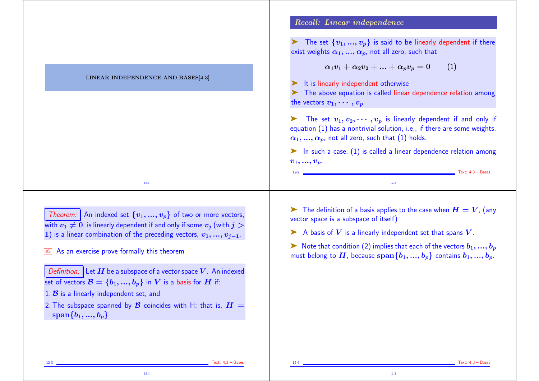|                                                                                                                                                                                                         | Recall: Linear independence                                                                                                                                                                                       |
|---------------------------------------------------------------------------------------------------------------------------------------------------------------------------------------------------------|-------------------------------------------------------------------------------------------------------------------------------------------------------------------------------------------------------------------|
|                                                                                                                                                                                                         | The set $\{v_1,,v_p\}$ is said to be linearly dependent if there<br>exist weights $\alpha_1, , \alpha_p$ , not all zero, such that                                                                                |
|                                                                                                                                                                                                         | $\alpha_1v_1 + \alpha_2v_2 +  + \alpha_pv_p = 0$<br>(1)                                                                                                                                                           |
| LINEAR INDEPENDENCE AND BASES[4.3]                                                                                                                                                                      | It is linearly independent otherwise<br>The above equation is called linear dependence relation among<br>the vectors $v_1, \cdots, v_p$                                                                           |
|                                                                                                                                                                                                         | The set $v_1, v_2, \cdots, v_p$ is linearly dependent if and only if<br>equation $(1)$ has a nontrivial solution, i.e., if there are some weights,<br>$\alpha_1, , \alpha_p$ , not all zero, such that (1) holds. |
|                                                                                                                                                                                                         | $\blacktriangleright$ In such a case, $(1)$ is called a linear dependence relation among<br>$v_1, , v_p$ .<br>$Text: 4.3 - Bases$<br>$12-2$ $\frac{1}{2}$                                                         |
| $12 - 1$                                                                                                                                                                                                | $12-2$                                                                                                                                                                                                            |
| Theorem: An indexed set $\{v_1, , v_p\}$ of two or more vectors,                                                                                                                                        | The definition of a basis applies to the case when $H=V$ , (any<br>vector space is a subspace of itself)                                                                                                          |
| with $v_1 \neq 0$ , is linearly dependent if and only if some $v_j$ (with $j > 0$<br>1) is a linear combination of the preceding vectors, $v_1, , v_{j-1}$ .                                            | A basis of $V$ is a linearly independent set that spans $V$ .                                                                                                                                                     |
| As an exercise prove formally this theorem                                                                                                                                                              | Note that condition (2) implies that each of the vectors $b_1, , b_p$<br>must belong to $H$ , because $\text{span}\{b_1, , b_p\}$ contains $b_1, , b_p$ .                                                         |
|                                                                                                                                                                                                         |                                                                                                                                                                                                                   |
| <i>Definition:</i> Let $H$ be a subspace of a vector space $V$ . An indexed<br>set of vectors $\mathcal{B} = \{b_1, , b_p\}$ in V is a basis for H if:<br>1. $\beta$ is a linearly independent set, and |                                                                                                                                                                                                                   |

12-3 Text: 4.3 – Bases

12-4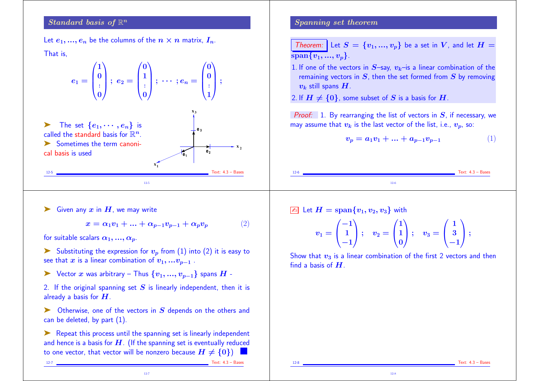## $\emph{Standard basis of $\mathbb{R}^n$}$

Let  $e_1, ..., e_n$  be the columns of the  $n \times n$  matrix,  $I_n$ .

That is,

$$
e_1=\begin{pmatrix}1\\0\\\vdots\\0\end{pmatrix};\;e_2=\begin{pmatrix}0\\1\\\vdots\\0\end{pmatrix};\;\cdots;\allowbreak e_n=\begin{pmatrix}0\\0\\\vdots\\1\end{pmatrix};\;\;
$$

ightharpoonup The set  $\{e_1, \dots, e_n\}$  is called the standard basis for  $\mathbb{R}^n$ .  $\blacktriangleright$  Sometimes the term canonical basis is used

12-5 Text: 4.3 – Bases

### Siven any  $x$  in  $H$ , we may write

$$
x = \alpha_1 v_1 + \dots + \alpha_{p-1} v_{p-1} + \alpha_p v_p \tag{2}
$$

 $\mathbf{x}_1$ 

12-5

**2**

**e 3**

 $\overline{e}_1$ 

**e**

**2**

for suitable scalars  $\alpha_1, ..., \alpha_n$ .

- Substituting the expression for  $v_p$  from (1) into (2) it is easy to see that x is a linear combination of  $v_1, ... v_{p-1}$ .
- ► Vector x was arbitrary Thus  $\{v_1, ..., v_{n-1}\}$  spans  $H$  -
- 2. If the original spanning set  $S$  is linearly independent, then it is already a basis for  $H$ .
- $\triangleright$  Otherwise, one of the vectors in  $S$  depends on the others and can be deleted, by part (1).

► Repeat this process until the spanning set is linearly independent and hence is a basis for  $H$ . (If the spanning set is eventually reduced to one vector, that vector will be nonzero because  $H \neq \{0\}$ 

12-7

Spanning set theorem

**Theorem:** Let 
$$
S = \{v_1, ..., v_p\}
$$
 be a set in V, and let  $H = \overline{\text{span}\{v_1, ..., v_p\}}$ .

1. If one of the vectors in  $S$ –say,  $v_k$ –is a linear combination of the remaining vectors in  $S$ , then the set formed from  $S$  by removing  $v_k$  still spans  $H$ .

2. If  $H \neq \{0\}$ , some subset of S is a basis for H.

**Proof:** 1. By rearranging the list of vectors in  $S$ , if necessary, we may assume that  $v_k$  is the last vector of the list, i.e.,  $v_n$ , so:

$$
v_p = a_1 v_1 + \ldots + a_{p-1} v_{p-1} \tag{1}
$$



$$
\boxed{\mathbb{A}}\ \ \text{Let}\ \ H=\text{span}\{v_1,v_2,v_3\}\ \ \text{with}
$$

$$
v_1=\begin{pmatrix}-1\\1\\-1\end{pmatrix};\quad v_2=\begin{pmatrix}1\\1\\0\end{pmatrix};\quad v_3=\begin{pmatrix}1\\3\\-1\end{pmatrix};
$$

Show that  $v_3$  is a linear combination of the first 2 vectors and then find a basis of  $H$ .

12-8

12-7 Text: 4.3 – Bases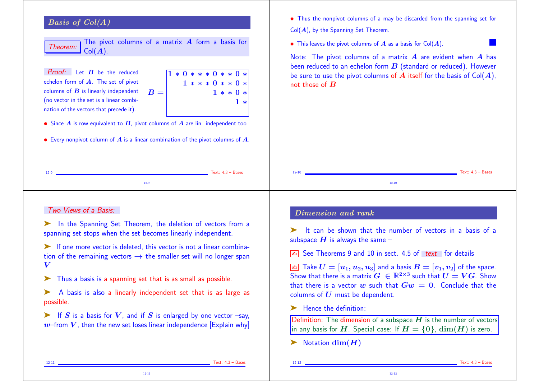# Basis of Col(A)

| Theorem: Collect Columns of a matrix $A$ form a pasis in Collect $\bigcirc$ Collect $A$ . |  |  |  |  |  |
|-------------------------------------------------------------------------------------------|--|--|--|--|--|
|                                                                                           |  |  |  |  |  |

**Proof:** Let  $B$  be the reduced echelon form of A. The set of pivot columns of  $\boldsymbol{B}$  is linearly independent (no vector in the set is a linear combination of the vectors that precede it).

 $B =$  $1 * 0 * * * 0 * * 0 *$  $1 * * * 0 * * 0 *$  $1 * * 0 *$ 1 ∗

• Since  $\vec{A}$  is row equivalent to  $\vec{B}$ , pivot columns of  $\vec{A}$  are lin. independent too

• Every nonpivot column of  $\vec{A}$  is a linear combination of the pivot columns of  $\vec{A}$ .

- Thus the nonpivot columns of a may be discarded from the spanning set for  $Col(A)$ , by the Spanning Set Theorem.
- This leaves the pivot columns of  $\vec{A}$  as a basis for Col $(\vec{A})$ .

Note: The pivot columns of a matrix  $A$  are evident when  $A$  has been reduced to an echelon form  $B$  (standard or reduced). However be sure to use the pivot columns of  $A$  itself for the basis of  $Col(A)$ , not those of  $B$ 

| $12 - 9$ | Text: $4.3 - Bases$ | $12 - 10$ |         | $Text: 4.3 - Bases$ |
|----------|---------------------|-----------|---------|---------------------|
|          |                     |           | $12-10$ |                     |

#### Two Views of a Basis:

➤ In the Spanning Set Theorem, the deletion of vectors from a spanning set stops when the set becomes linearly independent.

➤ If one more vector is deleted, this vector is not a linear combination of the remaining vectors  $\rightarrow$  the smaller set will no longer span V

Thus a basis is a spanning set that is as small as possible.

➤ A basis is also a linearly independent set that is as large as possible.

 $\blacktriangleright$  If S is a basis for V, and if S is enlarged by one vector –say,  $w$ –from  $V$ , then the new set loses linear independence [Explain why]

12-11

### Dimension and rank

➤ It can be shown that the number of vectors in a basis of a subspace  $H$  is always the same -

 $\sqrt{2n}$  See Theorems 9 and 10 in sect. 4.5 of text for details

 $\boxed{\mathbb{Z}^2}$  Take  $U = [u_1, u_2, u_3]$  and a basis  $B = [v_1, v_2]$  of the space. Show that there is a matrix  $G \ \in \mathbb{R}^{2 \times 3}$  such that  $U = VG$ . Show that there is a vector w such that  $Gw = 0$ . Conclude that the columns of  $U$  must be dependent.

➤ Hence the definition:

Definition: The dimension of a subspace  $H$  is the number of vectors in any basis for H. Special case: If  $H = \{0\}$ ,  $\dim(H)$  is zero.

 $\blacktriangleright$  Notation dim $(H)$ 

12-11 Text: 4.3 – Bases

12-12 Text: 4.3 – Bases